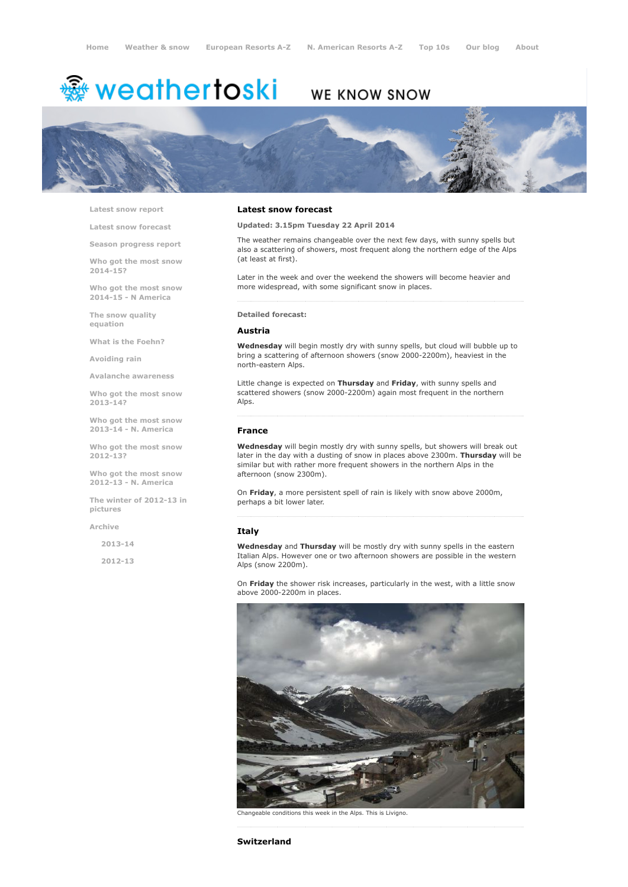# <del>鑾</del> weathertoski

# WE KNOW SNOW



Latest snow [report](http://www.weathertoski.co.uk/weather-snow/latest-snow-report/)

Latest snow [forecast](http://www.weathertoski.co.uk/weather-snow/latest-snow-forecast/)

Season [progress](http://www.weathertoski.co.uk/weather-snow/season-progress-report/) report

Who got the most snow 2014-15?

Who got the most snow 2014-15 - N America

The snow quality [equation](http://www.weathertoski.co.uk/weather-snow/the-snow-quality-equation/)

What is the [Foehn?](http://www.weathertoski.co.uk/weather-snow/what-is-the-foehn/)

[Avoiding](http://www.weathertoski.co.uk/weather-snow/avoiding-rain/) rain

Avalanche [awareness](http://www.weathertoski.co.uk/weather-snow/avalanche-awareness/)

Who got the most snow 2013-14?

Who got the most snow 2013-14 - N. America

Who got the most snow 2012-13?

Who got the most snow 2012-13 - N. America

The winter of 2012-13 in pictures

[Archive](http://www.weathertoski.co.uk/weather-snow/archive/)

2013-14

2012-13

#### Latest snow forecast

Updated: 3.15pm Tuesday 22 April 2014

The weather remains changeable over the next few days, with sunny spells but also a scattering of showers, most frequent along the northern edge of the Alps (at least at first).

Later in the week and over the weekend the showers will become heavier and more widespread, with some significant snow in places.

#### Detailed forecast:

#### Austria

Wednesday will begin mostly dry with sunny spells, but cloud will bubble up to bring a scattering of afternoon showers (snow 2000-2200m), heaviest in the northeastern Alps.

Little change is expected on Thursday and Friday, with sunny spells and scattered showers (snow 2000-2200m) again most frequent in the northern Alps.

#### France

Wednesday will begin mostly dry with sunny spells, but showers will break out later in the day with a dusting of snow in places above 2300m. Thursday will be similar but with rather more frequent showers in the northern Alps in the afternoon (snow 2300m).

On Friday, a more persistent spell of rain is likely with snow above 2000m, perhaps a bit lower later.

### Italy

Wednesday and Thursday will be mostly dry with sunny spells in the eastern Italian Alps. However one or two afternoon showers are possible in the western Alps (snow 2200m).

On Friday the shower risk increases, particularly in the west, with a little snow above 2000-2200m in places.



conditions this week in the Alps. This is Livigno.

Switzerland